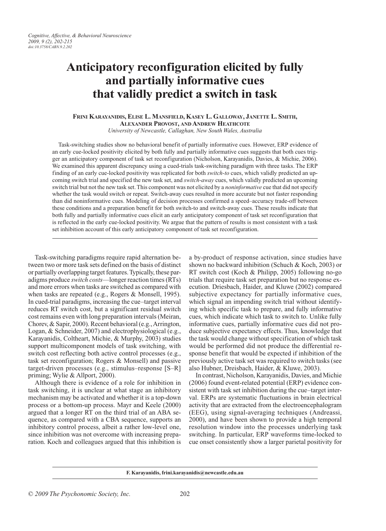# **Anticipatory reconfiguration elicited by fully and partially informative cues that validly predict a switch in task**

## **Frini Karayanidis, Elise L. Mansfield, Kasey L. Galloway, Janette L. Smith, Alexander Provost, and Andrew Heathcote** *University of Newcastle, Callaghan, New South Wales, Australia*

Task-switching studies show no behavioral benefit of partially informative cues. However, ERP evidence of an early cue-locked positivity elicited by both fully and partially informative cues suggests that both cues trigger an anticipatory component of task set reconfiguration (Nicholson, Karayanidis, Davies, & Michie, 2006). We examined this apparent discrepancy using a cued-trials task-switching paradigm with three tasks. The ERP finding of an early cue-locked positivity was replicated for both *switch-to* cues, which validly predicted an upcoming switch trial and specified the new task set, and *switch-away* cues, which validly predicted an upcoming switch trial but not the new task set. This component was not elicited by a *noninformative* cue that did not specify whether the task would switch or repeat. Switch-away cues resulted in more accurate but not faster responding than did noninformative cues. Modeling of decision processes confirmed a speed–accuracy trade-off between these conditions and a preparation benefit for both switch-to and switch-away cues. These results indicate that both fully and partially informative cues elicit an early anticipatory component of task set reconfiguration that is reflected in the early cue-locked positivity. We argue that the pattern of results is most consistent with a task set inhibition account of this early anticipatory component of task set reconfiguration.

Task-switching paradigms require rapid alternation between two or more task sets defined on the basis of distinct or partially overlapping target features. Typically, these paradigms produce *switch costs*—longer reaction times (RTs) and more errors when tasks are switched as compared with when tasks are repeated (e.g., Rogers & Monsell, 1995). In cued-trial paradigms, increasing the cue–target interval reduces RT switch cost, but a significant residual switch cost remains even with long preparation intervals (Meiran, Chorev, & Sapir, 2000). Recent behavioral (e.g., Arrington, Logan, & Schneider, 2007) and electrophysiological (e.g., Karayanidis, Coltheart, Michie, & Murphy, 2003) studies support multicomponent models of task switching, with switch cost reflecting both active control processes (e.g., task set reconfiguration; Rogers & Monsell) and passive target-driven processes (e.g., stimulus–response [S–R] priming; Wylie & Allport, 2000).

Although there is evidence of a role for inhibition in task switching, it is unclear at what stage an inhibitory mechanism may be activated and whether it is a top-down process or a bottom-up process. Mayr and Keele (2000) argued that a longer RT on the third trial of an ABA sequence, as compared with a CBA sequence, supports an inhibitory control process, albeit a rather low-level one, since inhibition was not overcome with increasing preparation. Koch and colleagues argued that this inhibition is a by-product of response activation, since studies have shown no backward inhibition (Schuch & Koch, 2003) or RT switch cost (Koch & Philipp, 2005) following no-go trials that require task set preparation but no response execution. Driesbach, Haider, and Kluwe (2002) compared subjective expectancy for partially informative cues, which signal an impending switch trial without identifying which specific task to prepare, and fully informative cues, which indicate which task to switch to. Unlike fully informative cues, partially informative cues did not produce subjective expectancy effects. Thus, knowledge that the task would change without specification of which task would be performed did not produce the differential response benefit that would be expected if inhibition of the previously active task set was required to switch tasks (see also Hubner, Dreisbach, Haider, & Kluwe, 2003).

In contrast, Nicholson, Karayanidis, Davies, and Michie (2006) found event-related potential (ERP) evidence consistent with task set inhibition during the cue–target interval. ERPs are systematic fluctuations in brain electrical activity that are extracted from the electroencephalogram (EEG), using signal-averaging techniques (Andreassi, 2000), and have been shown to provide a high temporal resolution window into the processes underlying task switching. In particular, ERP waveforms time-locked to cue onset consistently show a larger parietal positivity for

## **F. Karayanidis, frini.karayanidis@newcastle.edu.au**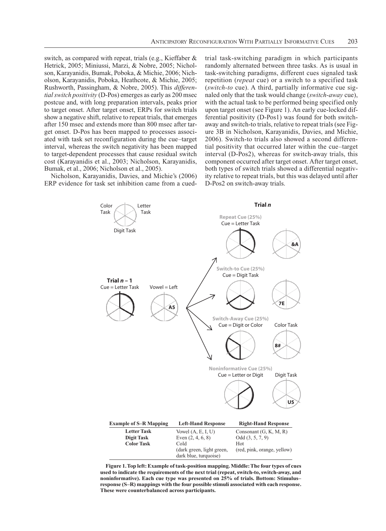switch, as compared with repeat, trials (e.g., Kieffaber & Hetrick, 2005; Miniussi, Marzi, & Nobre, 2005; Nicholson, Karayanidis, Bumak, Poboka, & Michie, 2006; Nicholson, Karayanidis, Poboka, Heathcote, & Michie, 2005; Rushworth, Passingham, & Nobre, 2005). This *differential switch positivity* (D-Pos) emerges as early as 200 msec postcue and, with long preparation intervals, peaks prior to target onset. After target onset, ERPs for switch trials show a negative shift, relative to repeat trials, that emerges after 150 msec and extends more than 800 msec after target onset. D-Pos has been mapped to processes associated with task set reconfiguration during the cue–target interval, whereas the switch negativity has been mapped to target-dependent processes that cause residual switch cost (Karayanidis et al., 2003; Nicholson, Karayanidis, Bumak, et al., 2006; Nicholson et al., 2005).

Nicholson, Karayanidis, Davies, and Michie's (2006) ERP evidence for task set inhibition came from a cued-

trial task-switching paradigm in which participants randomly alternated between three tasks. As is usual in task-switching paradigms, different cues signaled task repetition (*repeat* cue) or a switch to a specified task (*switch-to* cue). A third, partially informative cue signaled only that the task would change (*switch-away* cue), with the actual task to be performed being specified only upon target onset (see Figure 1). An early cue-locked differential positivity (D-Pos1) was found for both switchaway and switch-to trials, relative to repeat trials (see Figure 3B in Nicholson, Karayanidis, Davies, and Michie, 2006). Switch-to trials also showed a second differential positivity that occurred later within the cue–target interval (D-Pos2), whereas for switch-away trials, this component occurred after target onset. After target onset, both types of switch trials showed a differential negativity relative to repeat trials, but this was delayed until after D-Pos2 on switch-away trials.



**Figure 1. Top left: Example of task-position mapping. Middle: The four types of cues used to indicate the requirements of the next trial (repeat, switch-to, switch-away, and noninformative). Each cue type was presented on 25% of trials. Bottom: Stimulus– response (S–R) mappings with the four possible stimuli associated with each response. These were counterbalanced across participants.**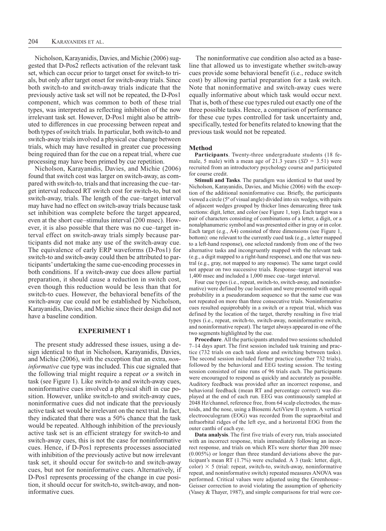Nicholson, Karayanidis, Davies, and Michie (2006) suggested that D-Pos2 reflects activation of the relevant task set, which can occur prior to target onset for switch-to trials, but only after target onset for switch-away trials. Since both switch-to and switch-away trials indicate that the previously active task set will not be repeated, the D-Pos1 component, which was common to both of these trial types, was interpreted as reflecting inhibition of the now irrelevant task set. However, D-Pos1 might also be attributed to differences in cue processing between repeat and both types of switch trials. In particular, both switch-to and switch-away trials involved a physical cue change between trials, which may have resulted in greater cue processing being required than for the cue on a repeat trial, where cue processing may have been primed by cue repetition.

Nicholson, Karayanidis, Davies, and Michie (2006) found that switch cost was larger on switch-away, as compared with switch-to, trials and that increasing the cue–target interval reduced RT switch cost for switch-to, but not switch-away, trials. The length of the cue–target interval may have had no effect on switch-away trials because task set inhibition was complete before the target appeared, even at the short cue–stimulus interval (200 msec). However, it is also possible that there was no cue–target interval effect on switch-away trials simply because participants did not make any use of the switch-away cue. The equivalence of early ERP waveforms (D-Pos1) for switch-to and switch-away could then be attributed to participants' undertaking the same cue-encoding processes in both conditions. If a switch-away cue does allow partial preparation, it should cause a reduction in switch cost, even though this reduction would be less than that for switch-to cues. However, the behavioral benefits of the switch-away cue could not be established by Nicholson, Karayanidis, Davies, and Michie since their design did not have a baseline condition.

# **Experiment 1**

The present study addressed these issues, using a design identical to that in Nicholson, Karayanidis, Davies, and Michie (2006), with the exception that an extra, *noninformative* cue type was included. This cue signaled that the following trial might require a repeat *or* a switch in task (see Figure 1). Like switch-to and switch-away cues, noninformative cues involved a physical shift in cue position. However, unlike switch-to and switch-away cues, noninformative cues did not indicate that the previously active task set would be irrelevant on the next trial. In fact, they indicated that there was a 50% chance that the task would be repeated. Although inhibition of the previously active task set is an efficient strategy for switch-to and switch-away cues, this is not the case for noninformative cues. Hence, if D-Pos1 represents processes associated with inhibition of the previously active but now irrelevant task set, it should occur for switch-to and switch-away cues, but not for noninformative cues. Alternatively, if D-Pos1 represents processing of the change in cue position, it should occur for switch-to, switch-away, and noninformative cues.

The noninformative cue condition also acted as a baseline that allowed us to investigate whether switch-away cues provide some behavioral benefit (i.e., reduce switch cost) by allowing partial preparation for a task switch. Note that noninformative and switch-away cues were equally informative about which task would occur next. That is, both of these cue types ruled out exactly one of the three possible tasks. Hence, a comparison of performance for these cue types controlled for task uncertainty and, specifically, tested for benefits related to knowing that the previous task would not be repeated.

#### **Method**

**Participants**. Twenty-three undergraduate students (18 female, 5 male) with a mean age of 21.3 years  $(SD = 3.51)$  were recruited from an introductory psychology course and participated for course credit.

**Stimuli and Tasks**. The paradigm was identical to that used by Nicholson, Karayanidis, Davies, and Michie (2006) with the exception of the additional noninformative cue. Briefly, the participants viewed a circle (5º of visual angle) divided into six wedges, with pairs of adjacent wedges grouped by thicker lines demarcating three task sections: digit, letter, and color (see Figure 1, top). Each target was a pair of characters consisting of combinations of a letter, a digit, or a nonalphanumeric symbol and was presented either in gray or in color. Each target (e.g., A4) consisted of three dimensions (see Figure 1, bottom): one relevant to the currently cued task (e.g., a letter mapped to a left-hand response), one selected randomly from one of the two alternative tasks and incongruently mapped with the relevant task (e.g., a digit mapped to a right-hand response), and one that was neutral (e.g., gray, not mapped to any response). The same target could not appear on two successive trials. Response–target interval was 1,400 msec and included a 1,000 msec cue–target interval.

Four cue types (i.e., repeat, switch-to, switch-away, and noninformative) were defined by cue location and were presented with equal probability in a pseudorandom sequence so that the same cue was not repeated on more than three consecutive trials. Noninformative cues resulted equiprobably in a switch or a repeat trial, which was defined by the location of the target, thereby resulting in five trial types (i.e., repeat, switch-to, switch-away, noninformative switch, and noninformative repeat). The target always appeared in one of the two segments highlighted by the cue.

**Procedure**. All the participants attended two sessions scheduled 7–14 days apart. The first session included task training and practice (732 trials on each task alone and switching between tasks). The second session included further practice (another 732 trials), followed by the behavioral and EEG testing session. The testing session consisted of nine runs of 96 trials each. The participants were encouraged to respond as quickly and accurately as possible. Auditory feedback was provided after an incorrect response, and behavioral feedback (mean RT and percentage correct) was displayed at the end of each run. EEG was continuously sampled at 2048 Hz/channel, reference free, from 64 scalp electrodes, the mastoids, and the nose, using a Biosemi ActiView II system. A vertical electrooculogram (EOG) was recorded from the supraorbital and infraorbital ridges of the left eye, and a horizontal EOG from the outer canthi of each eye.

**Data analysis**. The first five trials of every run, trials associated with an incorrect response, trials immediately following an incorrect response, and trials on which RTs were shorter than 200 msec (0.005%) or longer than three standard deviations above the participant's mean RT (1.7%) were excluded. A 3 (task: letter, digit, color)  $\times$  5 (trial: repeat, switch-to, switch-away, noninformative repeat, and noninformative switch) repeated measures ANOVA was performed. Critical values were adjusted using the Greenhouse– Geisser correction to avoid violating the assumption of sphericity (Vasey & Thayer, 1987), and simple comparisons for trial were cor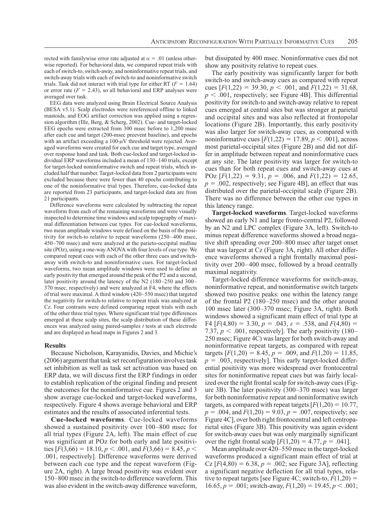rected with familywise error rate adjusted at  $\alpha = .01$  (unless otherwise reported). For behavioral data, we compared repeat trials with each of switch-to, switch-away, and noninformative repeat trials, and switch-away trials with each of switch-to and noninformative switch trials. Task did not interact with trial type for either RT ( $F = 1.64$ ) or error rate  $(F = 2.43)$ , so all behavioral and ERP analyses were averaged over task.

EEG data were analyzed using Brain Electrical Source Analysis (BESA v5.1). Scalp electrodes were rereferenced offline to linked mastoids, and EOG artifact correction was applied using a regression algorithm (Ille, Berg, & Scherg, 2002). Cue- and target-locked EEG epochs were extracted from 300 msec before to 1,200 msec after each cue and target (200-msec preevent baseline), and epochs with an artifact exceeding a 100- $\mu$ V threshold were rejected. Averaged waveforms were created for each cue and target type, averaged over response hand and task. Both cue-locked and target-locked individual ERP waveforms included a mean of 130–140 trials, except for target-locked noninformative switch and repeat trials, which included half that number. Target-locked data from 2 participants were excluded because there were fewer than 40 epochs contributing to one of the noninformative trial types. Therefore, cue-locked data are reported from 23 participants, and target-locked data are from 21 participants.

Difference waveforms were calculated by subtracting the repeat waveform from each of the remaining waveforms and were visually inspected to determine time windows and scalp topography of maximal differentiation between cue types. For cue-locked waveforms, two mean amplitude windows were defined on the basis of the positivity for switch-to relative to repeat waveforms (250–400 msec, 450–700 msec) and were analyzed at the parieto-occipital midline site (POz), using a one-way ANOVA with four levels of cue type. We compared repeat cues with each of the other three cues and switchaway with switch-to and noninformative cues. For target-locked waveforms, two mean amplitude windows were used to define an early positivity that emerged around the peak of the P2 and a second, later positivity around the latency of the N2 (180–250 and 300– 370 msec, respectively) and were analyzed at F4, where the effects of trial were maximal. A third window (420–550 msec) that targeted the negativity for switch-to relative to repeat trials was analyzed at Cz. Four contrasts were defined comparing repeat trials with each of the other three trial types. Where significant trial type differences emerged at these scalp sites, the scalp distribution of these differences was analyzed using paired-samples *t* tests at each electrode and are displayed as head maps in Figures 2 and 3.

#### **Results**

Because Nicholson, Karayanidis, Davies, and Michie's (2006) argument that task set reconfiguration involves task set inhibition as well as task set activation was based on ERP data, we will discuss first the ERP findings in order to establish replication of the original finding and present the outcomes for the noninformative cue. Figures 2 and 3 show average cue-locked and target-locked waveforms, respectively. Figure 4 shows average behavioral and ERP estimates and the results of associated inferential tests.

**Cue-locked waveforms**. Cue-locked waveforms showed a sustained positivity over 100–800 msec for all trial types (Figure 2A, left). The main effect of cue was significant at POz for both early and late positivities  $[F(3,66) = 18.10, p < .001,$  and  $F(3,66) = 8.45, p <$ .001, respectively]. Difference waveforms were derived between each cue type and the repeat waveform (Figure 2A, right). A large broad positivity was evident over 150–800 msec in the switch-to difference waveform. This was also evident in the switch-away difference waveform,

but dissipated by 400 msec. Noninformative cues did not show any positivity relative to repeat cues.

The early positivity was significantly larger for both switch-to and switch-away cues as compared with repeat cues  $[F(1,22) = 39.30, p < .001, \text{ and } F(1,22) = 31.68,$  $p < .001$ , respectively; see Figure 4B]. This differential positivity for switch-to and switch-away relative to repeat cues emerged at central sites but was stronger at parietal and occipital sites and was also reflected at frontopolar locations (Figure 2B). Importantly, this early positivity was also larger for switch-away cues, as compared with noninformative cues  $[F(1,22) = 17.89, p < .001]$ , across most parietal-occipital sites (Figure 2B) and did not differ in amplitude between repeat and noninformative cues at any site. The later positivity was larger for switch-to cues than for both repeat cues and switch-away cues at POz  $[F(1,22) = 9.31, p = .006, \text{ and } F(1,22) = 12.65,$  $p = .002$ , respectively; see Figure 4B], an effect that was distributed over the parietal-occipital scalp (Figure 2B). There was no difference between the other cue types in this latency range.

**Target-locked waveforms**. Target-locked waveforms showed an early N1 and large fronto-central P2, followed by an N2 and LPC complex (Figure 3A, left). Switch-to minus repeat difference waveforms showed a broad negative shift spreading over 200–800 msec after target onset that was largest at Cz (Figure 3A, right). All other difference waveforms showed a right frontally maximal positivity over 200–400 msec, followed by a broad centrally maximal negativity.

Target-locked difference waveforms for switch-away, noninformative repeat, and noninformative switch targets showed two positive peaks: one within the latency range of the frontal P2 (180–250 msec) and the other around 100 msec later (300–370 msec; Figure 3A, right). Both windows showed a significant main effect of trial type at F4  $[F(4,80) = 3.30, p = .043, \varepsilon = .538, \text{ and } F(4,80) =$ 7.37,  $p < .001$ , respectively]. The early positivity (180– 250 msec; Figure 4C) was larger for both switch-away and noninformative repeat targets, as compared with repeat targets  $[F(1,20) = 8.45, p = .009, \text{ and } F(1,20) = 11.85,$  $p = .003$ , respectively]. This early target-locked differential positivity was more widespread over frontocentral sites for noninformative repeat cues but was fairly localized over the right frontal scalp for switch-away cues (Figure 3B). The later positivity (300–370 msec) was larger for both noninformative repeat and noninformative switch targets, as compared with repeat targets  $[F(1,20) = 10.77]$ ,  $p = .004$ , and  $F(1,20) = 9.03$ ,  $p = .007$ , respectively; see Figure 4C], over both right frontocentral and left centroparietal sites (Figure 3B). This positivity was again evident for switch-away cues but was only marginally significant over the right frontal scalp  $[F(1,20) = 4.77, p = .041]$ .

Mean amplitude over 420–550 msec in the target-locked waveforms produced a significant main effect of trial at  $Cz$  [ $F(4,80) = 6.38, p = .002$ ; see Figure 3A], reflecting a significant negative deflection for all trial types, relative to repeat targets [see Figure 4C; switch-to,  $F(1,20) =$  $16.65, p = .001$ ; switch-away,  $F(1,20) = 19.45, p < .001$ ;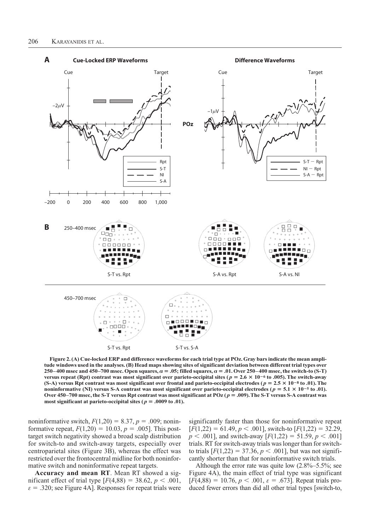

**Figure 2. (A) Cue-locked ERP and difference waveforms for each trial type at POz. Gray bars indicate the mean amplitude windows used in the analyses. (B) Head maps showing sites of significant deviation between different trial types over 250–400** msec and 450–700 msec. Open squares,  $\alpha = .05$ ; filled squares,  $\alpha = .01$ . Over 250–400 msec, the switch-to (S-T) **versus repeat (Rpt) contrast was most significant over parieto-occipital sites (** $p = 2.6 \times 10^{-6}$  **to .005). The switch-away** (S-A) versus Rpt contrast was most significant over frontal and parieto-occipital electrodes ( $p = 2.5 \times 10^{-8}$  to .01). The **noninformative (NI) versus S-A contrast was most significant over parieto-occipital electrodes (** $p = 5.1 \times 10^{-5}$  **to .01).** Over 450–700 msec, the S-T versus Rpt contrast was most significant at POz ( $p = .009$ ). The S-T versus S-A contrast was most significant at parieto-occipital sites ( $p = .0009$  to .01).

noninformative switch,  $F(1,20) = 8.37, p = .009$ ; noninformative repeat,  $F(1,20) = 10.03$ ,  $p = .005$ ]. This posttarget switch negativity showed a broad scalp distribution for switch-to and switch-away targets, especially over centroparietal sites (Figure 3B), whereas the effect was restricted over the frontocentral midline for both noninformative switch and noninformative repeat targets.

**Accuracy and mean RT**. Mean RT showed a significant effect of trial type  $[F(4,88) = 38.62, p < .001,$  $\varepsilon = .320$ ; see Figure 4A]. Responses for repeat trials were

significantly faster than those for noninformative repeat  $[F(1,22) = 61.49, p < .001]$ , switch-to  $[F(1,22) = 32.29,$  $p < .001$ ], and switch-away  $[F(1,22) = 51.59, p < .001]$ trials. RT for switch-away trials was longer than for switchto trials  $[F(1,22) = 37.36, p < .001]$ , but was not significantly shorter than that for noninformative switch trials.

Although the error rate was quite low  $(2.8\% - 5.5\%;$  see Figure 4A), the main effect of trial type was significant  $[F(4,88) = 10.76, p < .001, \varepsilon = .673]$ . Repeat trials produced fewer errors than did all other trial types [switch-to,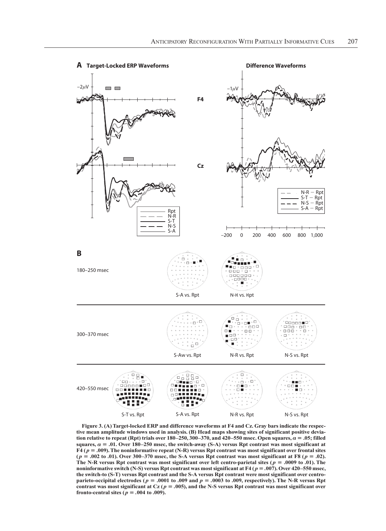

**Figure 3. (A)Target-locked ERP and difference waveforms at F4 and Cz. Gray bars indicate the respective mean amplitude windows used in analysis. (B) Head maps showing sites of significant positive deviation relative to repeat (Rpt) trials over**  $180-250$ **,**  $300-370$ **, and**  $420-550$  **msec. Open squares,**  $\alpha = .05$ **; filled squares,**  $\alpha = .01$ **. Over 180–250 msec, the switch-away (S-A) versus Rpt contrast was most significant at F4 (** *p* 5 **.009). The noninformative repeat (N-R) versus Rpt contrast was most significant over frontal sites**   $(p = .002 \text{ to } .01)$ . Over 300–370 msec, the S-A versus Rpt contrast was most significant at F8  $(p = .02)$ . The N-R versus Rpt contrast was most significant over left centro-parietal sites ( $p = .0009$  to .01). The **noninformative switch (N-S) versus Rpt contrast was most significant at F4 (** $p = .007$ **). Over 420–550 msec, the switch-to (S-T) versus Rpt contrast and the S-A versus Rpt contrast were most significant over centroparieto-occipital electrodes (** $p = .0001$  **to**  $.009$  **and**  $p = .0003$  **to**  $.009$ **, respectively). The N-R versus Rpt** contrast was most significant at Cz ( $p = .005$ ), and the N-S versus Rpt contrast was most significant over **fronto-central sites (** $p = .004$  **to .009).**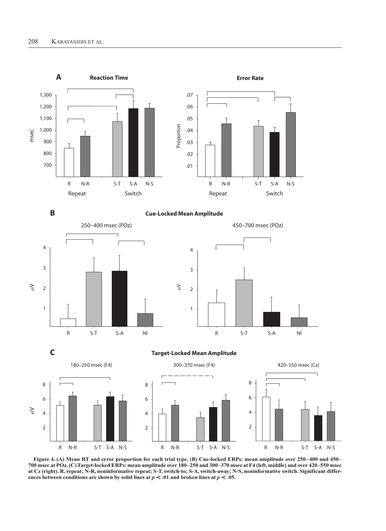

**Figure 4. (A) Mean RT and error proportion for each trial type. (B) Cue-locked ERPs: mean amplitude over 250–400 and 450– 700 msec at POz. (C)Target-locked ERPs: mean amplitude over 180–250 and 300–370 msec at F4 (left, middle) and over 420–550 msec at Cz (right). R, repeat; N-R, noninformative repeat; S-T, switch-to; S-A, switch-away; N-S, noninformative switch. Significant differ**ences between conditions are shown by solid lines at  $p < .01$  and broken lines at  $p < .05$ .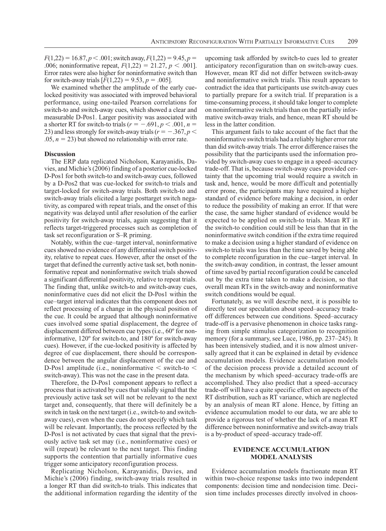$F(1,22) = 16.87, p < .001$ ; switch away,  $F(1,22) = 9.45, p =$ .006; noninformative repeat,  $F(1,22) = 21.27, p < .001$ . Error rates were also higher for noninformative switch than for switch-away trials  $[F(1,22) = 9.53, p = .005]$ .

We examined whether the amplitude of the early cuelocked positivity was associated with improved behavioral performance, using one-tailed Pearson correlations for switch-to and switch-away cues, which showed a clear and measurable D-Pos1. Larger positivity was associated with a shorter RT for switch-to trials  $(r = -.691, p < .001, n =$ 23) and less strongly for switch-away trials ( $r = -.367, p <$  $.05, n = 23$ ) but showed no relationship with error rate.

#### **Discussion**

The ERP data replicated Nicholson, Karayanidis, Davies, and Michie's (2006) finding of a posterior cue-locked D-Pos1 for both switch-to and switch-away cues, followed by a D-Pos2 that was cue-locked for switch-to trials and target-locked for switch-away trials. Both switch-to and switch-away trials elicited a large posttarget switch negativity, as compared with repeat trials, and the onset of this negativity was delayed until after resolution of the earlier positivity for switch-away trials, again suggesting that it reflects target-triggered processes such as completion of task set reconfiguration or S–R priming.

Notably, within the cue–target interval, noninformative cues showed no evidence of any differential switch positivity, relative to repeat cues. However, after the onset of the target that defined the currently active task set, both noninformative repeat and noninformative switch trials showed a significant differential positivity, relative to repeat trials. The finding that, unlike switch-to and switch-away cues, noninformative cues did not elicit the D-Pos1 within the cue–target interval indicates that this component does not reflect processing of a change in the physical position of the cue. It could be argued that although noninformative cues involved some spatial displacement, the degree of displacement differed between cue types (i.e., 60º for noninformative, 120º for switch-to, and 180º for switch-away cues). However, if the cue-locked positivity is affected by degree of cue displacement, there should be correspondence between the angular displacement of the cue and D-Pos1 amplitude (i.e., noninformative  $\lt$  switch-to  $\lt$ switch-away). This was not the case in the present data.

Therefore, the D-Pos1 component appears to reflect a process that is activated by cues that validly signal that the previously active task set will not be relevant to the next target and, consequently, that there will definitely be a switch in task on the next target (i.e., switch-to and switchaway cues), even when the cues do not specify which task will be relevant. Importantly, the process reflected by the D-Pos1 is not activated by cues that signal that the previously active task set may (i.e., noninformative cues) or will (repeat) be relevant to the next target. This finding supports the contention that partially informative cues trigger some anticipatory reconfiguration process.

Replicating Nicholson, Karayanidis, Davies, and Michie's (2006) finding, switch-away trials resulted in a longer RT than did switch-to trials. This indicates that the additional information regarding the identity of the

upcoming task afforded by switch-to cues led to greater anticipatory reconfiguration than on switch-away cues. However, mean RT did not differ between switch-away and noninformative switch trials. This result appears to contradict the idea that participants use switch-away cues to partially prepare for a switch trial. If preparation is a time-consuming process, it should take longer to complete on noninformative switch trials than on the partially informative switch-away trials, and hence, mean RT should be less in the latter condition.

This argument fails to take account of the fact that the noninformative switch trials had a reliably higher error rate than did switch-away trials. The error difference raises the possibility that the participants used the information provided by switch-away cues to engage in a speed–accuracy trade-off. That is, because switch-away cues provided certainty that the upcoming trial would require a switch in task and, hence, would be more difficult and potentially error prone, the participants may have required a higher standard of evidence before making a decision, in order to reduce the possibility of making an error. If that were the case, the same higher standard of evidence would be expected to be applied on switch-to trials. Mean RT in the switch-to condition could still be less than that in the noninformative switch condition if the extra time required to make a decision using a higher standard of evidence on switch-to trials was less than the time saved by being able to complete reconfiguration in the cue–target interval. In the switch-away condition, in contrast, the lesser amount of time saved by partial reconfiguration could be canceled out by the extra time taken to make a decision, so that overall mean RTs in the switch-away and noninformative switch conditions would be equal.

Fortunately, as we will describe next, it is possible to directly test our speculation about speed–accuracy tradeoff differences between cue conditions. Speed–accuracy trade-off is a pervasive phenomenon in choice tasks ranging from simple stimulus categorization to recognition memory (for a summary, see Luce, 1986, pp. 237–245). It has been intensively studied, and it is now almost universally agreed that it can be explained in detail by evidence accumulation models. Evidence accumulation models of the decision process provide a detailed account of the mechanism by which speed–accuracy trade-offs are accomplished. They also predict that a speed–accuracy trade-off will have a quite specific effect on aspects of the RT distribution, such as RT variance, which are neglected by an analysis of mean RT alone. Hence, by fitting an evidence accumulation model to our data, we are able to provide a rigorous test of whether the lack of a mean RT difference between noninformative and switch-away trials is a by-product of speed–accuracy trade-off.

# **Evidence Accumulation Model Analysis**

Evidence accumulation models fractionate mean RT within two-choice response tasks into two independent components: decision time and nondecision time. Decision time includes processes directly involved in choos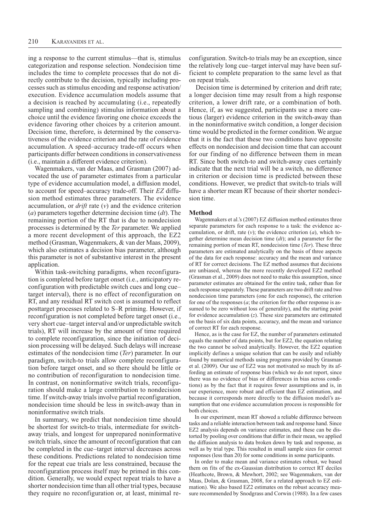ing a response to the current stimulus—that is, stimulus categorization and response selection. Nondecision time includes the time to complete processes that do not directly contribute to the decision, typically including processes such as stimulus encoding and response activation/ execution. Evidence accumulation models assume that a decision is reached by accumulating (i.e., repeatedly sampling and combining) stimulus information about a choice until the evidence favoring one choice exceeds the evidence favoring other choices by a criterion amount. Decision time, therefore, is determined by the conservativeness of the evidence criterion and the rate of evidence accumulation. A speed–accuracy trade-off occurs when participants differ between conditions in conservativeness (i.e., maintain a different evidence criterion).

Wagenmakers, van der Maas, and Grasman (2007) advocated the use of parameter estimates from a particular type of evidence accumulation model, a diffusion model, to account for speed–accuracy trade-off. Their *EZ* diffusion method estimates three parameters. The evidence accumulation, or *drift* rate (*v*) and the evidence criterion (*a*) parameters together determine decision time (*dt*). The remaining portion of the RT that is due to nondecision processes is determined by the *Ter* parameter. We applied a more recent development of this approach, the EZ2 method (Grasman, Wagenmakers, & van der Maas, 2009), which also estimates a decision bias parameter, although this parameter is not of substantive interest in the present application.

Within task-switching paradigms, when reconfiguration is completed before target onset (i.e., anticipatory reconfiguration with predictable switch cues and long cue– target interval), there is no effect of reconfiguration on RT, and any residual RT switch cost is assumed to reflect posttarget processes related to S–R priming. However, if reconfiguration is not completed before target onset (i.e., very short cue–target interval and/or unpredictable switch trials), RT will increase by the amount of time required to complete reconfiguration, since the initiation of decision processing will be delayed. Such delays will increase estimates of the nondecision time (*Ter*) parameter. In our paradigm, switch-to trials allow complete reconfiguration before target onset, and so there should be little or no contribution of reconfiguration to nondecision time. In contrast, on noninformative switch trials, reconfiguration should make a large contribution to nondecision time. If switch-away trials involve partial reconfiguration, nondecision time should be less in switch-away than in noninformative switch trials.

In summary, we predict that nondecision time should be shortest for switch-to trials, intermediate for switchaway trials, and longest for unprepared noninformative switch trials, since the amount of reconfiguration that can be completed in the cue–target interval decreases across these conditions. Predictions related to nondecision time for the repeat cue trials are less constrained, because the reconfiguration process itself may be primed in this condition. Generally, we would expect repeat trials to have a shorter nondecision time than all other trial types, because they require no reconfiguration or, at least, minimal reconfiguration. Switch-to trials may be an exception, since the relatively long cue–target interval may have been sufficient to complete preparation to the same level as that on repeat trials.

Decision time is determined by criterion and drift rate; a longer decision time may result from a high response criterion, a lower drift rate, or a combination of both. Hence, if, as we suggested, participants use a more cautious (larger) evidence criterion in the switch-away than in the noninformative switch condition, a longer decision time would be predicted in the former condition. We argue that it is the fact that these two conditions have opposite effects on nondecision and decision time that can account for our finding of no difference between them in mean RT. Since both switch-to and switch-away cues certainly indicate that the next trial will be a switch, no difference in criterion or decision time is predicted between these conditions. However, we predict that switch-to trials will have a shorter mean RT because of their shorter nondecision time.

### **Method**

Wagenmakers et al.'s (2007) EZ diffusion method estimates three separate parameters for each response to a task: the evidence accumulation, or drift, rate (*v*); the evidence criterion (*a*), which together determine mean decision time (*dt*); and a parameter for the remaining portion of mean RT, nondecision time (*Ter*). These three parameters are estimated analytically on the basis of three aspects of the data for each response: accuracy and the mean and variance of RT for correct decisions. The EZ method assumes that decisions are unbiased, whereas the more recently developed EZ2 method (Grasman et al., 2009) does not need to make this assumption, since parameter estimates are obtained for the entire task, rather than for each response separately. These parameters are two drift rate and two nondecision time parameters (one for each response), the criterion for one of the responses (*a*; the criterion for the other response is assumed to be zero without loss of generality), and the starting point for evidence accumulation (*z*). These size parameters are estimated on the basis of six data points, accuracy, and the mean and variance of correct RT for each response.

Hence, as is the case for EZ, the number of parameters estimated equals the number of data points, but for EZ2, the equation relating the two cannot be solved analytically. However, the EZ2 equation implicitly defines a unique solution that can be easily and reliably found by numerical methods using programs provided by Grasman et al. (2009). Our use of EZ2 was not motivated so much by its affording an estimate of response bias (which we do not report, since there was no evidence of bias or differences in bias across conditions) as by the fact that it requires fewer assumptions and is, in our experience, more robust and efficient than EZ estimation, and because it corresponds more directly to the diffusion model's assumption that one evidence accumulation process is responsible for both choices.

In our experiment, mean RT showed a reliable difference between tasks and a reliable interaction between task and response hand. Since EZ2 analysis depends on variance estimates, and these can be distorted by pooling over conditions that differ in their mean, we applied the diffusion analysis to data broken down by task and response, as well as by trial type. This resulted in small sample sizes for correct responses (less than 20) for some conditions in some participants.

In order to make mean and variance estimates robust, we based them on fits of the ex-Gaussian distribution to correct RT deciles (Heathcote, Brown, & Mewhort, 2002; see Wagenmakers, van der Maas, Dolan, & Grasman, 2008, for a related approach to EZ estimation). We also based EZ2 estimates on the robust accuracy measure recommended by Snodgrass and Corwin (1988). In a few cases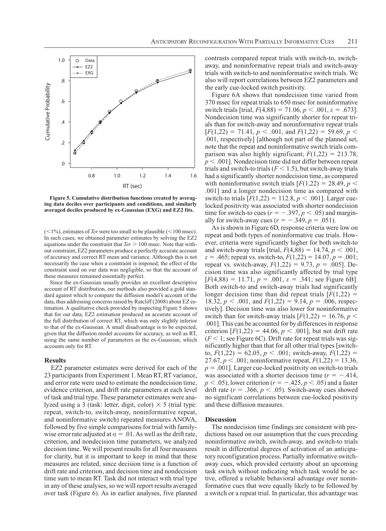

**Figure 5. Cumulative distribution functions created by averaging data deciles over participants and conditions, and similarly averaged deciles produced by ex-Gaussian (EXG) and EZ2 fits.**

 $(<1%)$ , estimates of *Ter* were too small to be plausible  $(<100$  msec). In such cases, we obtained parameter estimates by solving the EZ2 equations under the constraint that *Ter* > 100 msec. Note that without constraint, EZ2 parameters produce a perfectly accurate account of accuracy and correct RT mean and variance. Although this is not necessarily the case when a constraint is imposed, the effect of the constraint used on our data was negligible, so that the account of these measures remained essentially perfect.

Since the ex-Gaussian usually provides an excellent descriptive account of RT distribution, our methods also provided a gold standard against which to compare the diffusion model's account of the data, thus addressing concerns raised by Ratcliff (2008) about EZ estimation. A qualitative check provided by inspecting Figure 5 shows that for our data, EZ2 estimation produced an accurate account of the full distribution of correct RT, which was only slightly inferior to that of the ex-Gaussian. A small disadvantage is to be expected, given that the diffusion model accounts for accuracy, as well as RT, using the same number of parameters as the ex-Gaussian, which accounts only for RT.

## **Results**

EZ2 parameter estimates were derived for each of the 23 participants from Experiment 1. Mean RT, RT variance, and error rate were used to estimate the nondecision time, evidence criterion, and drift rate parameters at each level of task and trial type. These parameter estimates were analyzed using a 3 (task: letter, digit, color)  $\times$  5 (trial type: repeat, switch-to, switch-away, noninformative repeat, and noninformative switch) repeated measures ANOVA, followed by five simple comparisons for trial with familywise error rate adjusted at  $\alpha = 0.01$ . As well as the drift rate, criterion, and nondecision time parameters, we analyzed decision time. We will present results for all four measures for clarity, but it is important to keep in mind that these measures are related, since decision time is a function of drift rate and criterion, and decision time and nondecision time sum to mean RT. Task did not interact with trial type in any of these analyses, so we will report results averaged over task (Figure 6). As in earlier analyses, five planned

contrasts compared repeat trials with switch-to, switchaway, and noninformative repeat trials and switch-away trials with switch-to and noninformative switch trials. We also will report correlations between EZ2 parameters and the early cue-locked switch positivity.

Figure 6A shows that nondecision time varied from 370 msec for repeat trials to 650 msec for noninformative switch trials [trial,  $F(4,88) = 71.06$ ,  $p < .001$ ,  $\varepsilon = .673$ ]. Nondecision time was significantly shorter for repeat trials than for switch-away and noninformative repeat trials  $[F(1,22) = 71.41, p < .001, \text{ and } F(1,22) = 59.69, p < .001$ .001, respectively] [although not part of the planned set, note that the repeat and noninformative switch trials comparison was also highly significant;  $F(1,22) = 213.78$ ,  $p < .001$ ]. Nondecision time did not differ between repeat trials and switch-to trials  $(F < 1.5)$ , but switch-away trials had a significantly shorter nondecision time, as compared with noninformative switch trials  $[F(1,22) = 28.49, p <$ .001] and a longer nondecision time as compared with switch-to trials  $[F(1,22) = 112.8, p < .001]$ . Larger cuelocked positivity was associated with shorter nondecision time for switch-to cues ( $r = -.397, p < .05$ ) and marginally for switch-away cues  $(r = -.349, p = .051)$ .

As is shown in Figure 6D, response criteria were low on repeat and both types of noninformative cue trials. However, criteria were significantly higher for both switch-to and switch-away trials [trial,  $F(4,88) = 14.74$ ,  $p < .001$ ,  $\varepsilon$  = .465; repeat vs. switch-to,  $F(1,22) = 14.07$ ,  $p = .001$ ; repeat vs. switch-away,  $F(1,22) = 9.73$ ,  $p = .005$ ]. Decision time was also significantly affected by trial type  $[F(4,88) = 11.71, p = .001, \varepsilon = .341$ ; see Figure 6B]. Both switch-to and switch-away trials had significantly longer decision time than did repeat trials  $[F(1,22) =$ 18.32,  $p < .001$ , and  $F(1,22) = 9.14$ ,  $p = .006$ , respectively]. Decision time was also lower for noninformative switch than for switch-away trials  $[F(1,22) = 16.76, p <$ .001]. This can be accounted for by differences in response criterion  $[F(1,22) = 44.06, p < .001]$ , but not drift rate  $(F \leq 1;$  see Figure 6C). Drift rate for repeat trials was significantly higher than that for all other trial types [switchto,  $F(1,22) = 62.05, p < .001$ ; switch-away,  $F(1,22) =$ 27.67,  $p < .001$ ; noninformative repeat,  $F(1,22) = 13.36$ ,  $p = .001$ ]. Larger cue-locked positivity on switch-to trials was associated with a shorter decision time  $(r = -.414, ...)$  $p < .05$ ), lower criterion ( $r = -.425$ ,  $p < .05$ ) and a faster drift rate  $(r = .366, p < .05)$ . Switch-away cues showed no significant correlations between cue-locked positivity and these diffusion measures.

## **Discussion**

The nondecision time findings are consistent with predictions based on our assumption that the cues preceding noninformative switch, switch-away, and switch-to trials result in differential degrees of activation of an anticipatory reconfiguration process. Partially informative switchaway cues, which provided certainty about an upcoming task switch without indicating which task would be active, offered a reliable behavioral advantage over noninformative cues that were equally likely to be followed by a switch or a repeat trial. In particular, this advantage was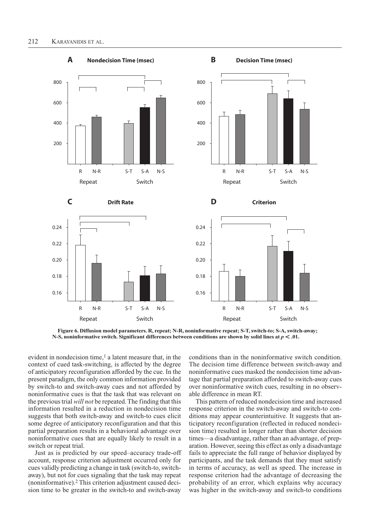

### **Figure 6. Diffusion model parameters. R, repeat; N-R, noninformative repeat; S-T, switch-to; S-A, switch-away; N-S, noninformative switch. Significant differences between conditions are shown by solid lines at**  $p < .01$ **.**

evident in nondecision time, $<sup>1</sup>$  a latent measure that, in the</sup> context of cued task-switching, is affected by the degree of anticipatory reconfiguration afforded by the cue. In the present paradigm, the only common information provided by switch-to and switch-away cues and not afforded by noninformative cues is that the task that was relevant on the previous trial *will not* be repeated. The finding that this information resulted in a reduction in nondecision time suggests that both switch-away and switch-to cues elicit some degree of anticipatory reconfiguration and that this partial preparation results in a behavioral advantage over noninformative cues that are equally likely to result in a switch or repeat trial.

Just as is predicted by our speed–accuracy trade-off account, response criterion adjustment occurred only for cues validly predicting a change in task (switch-to, switchaway), but not for cues signaling that the task may repeat (noninformative).2 This criterion adjustment caused decision time to be greater in the switch-to and switch-away

conditions than in the noninformative switch condition. The decision time difference between switch-away and noninformative cues masked the nondecision time advantage that partial preparation afforded to switch-away cues over noninformative switch cues, resulting in no observable difference in mean RT.

This pattern of reduced nondecision time and increased response criterion in the switch-away and switch-to conditions may appear counterintuitive. It suggests that anticipatory reconfiguration (reflected in reduced nondecision time) resulted in longer rather than shorter decision times—a disadvantage, rather than an advantage, of preparation. However, seeing this effect as only a disadvantage fails to appreciate the full range of behavior displayed by participants, and the task demands that they must satisfy in terms of accuracy, as well as speed. The increase in response criterion had the advantage of decreasing the probability of an error, which explains why accuracy was higher in the switch-away and switch-to conditions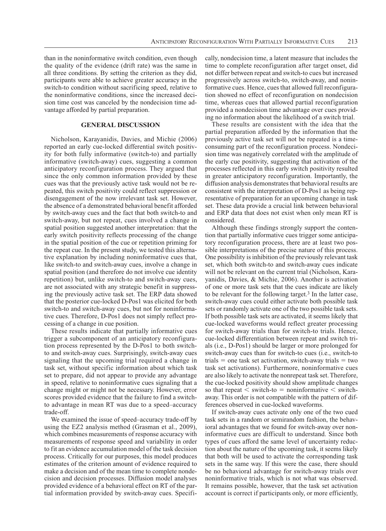than in the noninformative switch condition, even though the quality of the evidence (drift rate) was the same in all three conditions. By setting the criterion as they did, participants were able to achieve greater accuracy in the switch-to condition without sacrificing speed, relative to the noninformative conditions, since the increased decision time cost was canceled by the nondecision time advantage afforded by partial preparation.

# **General Discussion**

Nicholson, Karayanidis, Davies, and Michie (2006) reported an early cue-locked differential switch positivity for both fully informative (switch-to) and partially informative (switch-away) cues, suggesting a common anticipatory reconfiguration process. They argued that since the only common information provided by these cues was that the previously active task would not be repeated, this switch positivity could reflect suppression or disengagement of the now irrelevant task set. However, the absence of a demonstrated behavioral benefit afforded by switch-away cues and the fact that both switch-to and switch-away, but not repeat, cues involved a change in spatial position suggested another interpretation: that the early switch positivity reflects processing of the change in the spatial position of the cue or repetition priming for the repeat cue. In the present study, we tested this alternative explanation by including noninformative cues that, like switch-to and switch-away cues, involve a change in spatial position (and therefore do not involve cue identity repetition) but, unlike switch-to and switch-away cues, are not associated with any strategic benefit in suppressing the previously active task set. The ERP data showed that the posterior cue-locked D-Pos1 was elicited for both switch-to and switch-away cues, but not for noninformative cues. Therefore, D-Pos1 does not simply reflect processing of a change in cue position.

These results indicate that partially informative cues trigger a subcomponent of an anticipatory reconfiguration process represented by the D-Pos1 to both switchto and switch-away cues. Surprisingly, switch-away cues signaling that the upcoming trial required a change in task set, without specific information about which task set to prepare, did not appear to provide any advantage in speed, relative to noninformative cues signaling that a change might or might not be necessary. However, error scores provided evidence that the failure to find a switchto advantage in mean RT was due to a speed–accuracy trade-off.

We examined the issue of speed–accuracy trade-off by using the EZ2 analysis method (Grasman et al., 2009), which combines measurements of response accuracy with measurements of response speed and variability in order to fit an evidence accumulation model of the task decision process. Critically for our purposes, this model produces estimates of the criterion amount of evidence required to make a decision and of the mean time to complete nondecision and decision processes. Diffusion model analyses provided evidence of a behavioral effect on RT of the partial information provided by switch-away cues. Specifically, nondecision time, a latent measure that includes the time to complete reconfiguration after target onset, did not differ between repeat and switch-to cues but increased progressively across switch-to, switch-away, and noninformative cues. Hence, cues that allowed full reconfiguration showed no effect of reconfiguration on nondecision time, whereas cues that allowed partial reconfiguration provided a nondecision time advantage over cues providing no information about the likelihood of a switch trial.

These results are consistent with the idea that the partial preparation afforded by the information that the previously active task set will not be repeated is a timeconsuming part of the reconfiguration process. Nondecision time was negatively correlated with the amplitude of the early cue positivity, suggesting that activation of the processes reflected in this early switch positivity resulted in greater anticipatory reconfiguration. Importantly, the diffusion analysis demonstrates that behavioral results are consistent with the interpretation of D-Pos1 as being representative of preparation for an upcoming change in task set. These data provide a crucial link between behavioral and ERP data that does not exist when only mean RT is considered.

Although these findings strongly support the contention that partially informative cues trigger some anticipatory reconfiguration process, there are at least two possible interpretations of the precise nature of this process. One possibility is inhibition of the previously relevant task set, which both switch-to and switch-away cues indicate will not be relevant on the current trial (Nicholson, Karayanidis, Davies, & Michie, 2006). Another is activation of one or more task sets that the cues indicate are likely to be relevant for the following target.<sup>3</sup> In the latter case, switch-away cues could either activate both possible task sets or randomly activate one of the two possible task sets. If both possible task sets are activated, it seems likely that cue-locked waveforms would reflect greater processing for switch-away trials than for switch-to trials. Hence, cue-locked differentiation between repeat and switch trials (i.e., D-Pos1) should be larger or more prolonged for switch-away cues than for switch-to cues (i.e., switch-to trials  $=$  one task set activation, switch-away trials  $=$  two task set activations). Furthermore, noninformative cues are also likely to activate the nonrepeat task set. Therefore, the cue-locked positivity should show amplitude changes so that repeat  $\lt$  switch-to = noninformative  $\lt$  switchaway. This order is not compatible with the pattern of differences observed in cue-locked waveforms.

If switch-away cues activate only one of the two cued task sets in a random or semirandom fashion, the behavioral advantages that we found for switch-away over noninformative cues are difficult to understand. Since both types of cues afford the same level of uncertainty reduction about the nature of the upcoming task, it seems likely that both will be used to activate the corresponding task sets in the same way. If this were the case, there should be no behavioral advantage for switch-away trials over noninformative trials, which is not what was observed. It remains possible, however, that the task set activation account is correct if participants only, or more efficiently,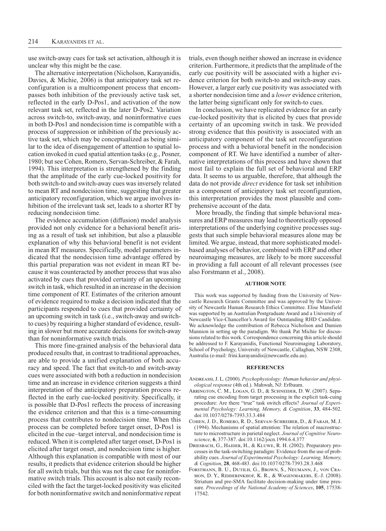use switch-away cues for task set activation, although it is unclear why this might be the case.

The alternative interpretation (Nicholson, Karayanidis, Davies, & Michie, 2006) is that anticipatory task set reconfiguration is a multicomponent process that encompasses both inhibition of the previously active task set, reflected in the early D-Pos1, and activation of the now relevant task set, reflected in the later D-Pos2. Variation across switch-to, switch-away, and noninformative cues in both D-Pos1 and nondecision time is compatible with a process of suppression or inhibition of the previously active task set, which may be conceptualized as being similar to the idea of disengagement of attention to spatial location invoked in cued spatial attention tasks (e.g., Posner, 1980; but see Cohen, Romero, Servan-Schreiber, & Farah, 1994). This interpretation is strengthened by the finding that the amplitude of the early cue-locked positivity for both switch-to and switch-away cues was inversely related to mean RT and nondecision time, suggesting that greater anticipatory reconfiguration, which we argue involves inhibition of the irrelevant task set, leads to a shorter RT by reducing nondecision time.

The evidence accumulation (diffusion) model analysis provided not only evidence for a behavioral benefit arising as a result of task set inhibition, but also a plausible explanation of why this behavioral benefit is not evident in mean RT measures. Specifically, model parameters indicated that the nondecision time advantage offered by this partial preparation was not evident in mean RT because it was counteracted by another process that was also activated by cues that provided certainty of an upcoming switch in task, which resulted in an increase in the decision time component of RT. Estimates of the criterion amount of evidence required to make a decision indicated that the participants responded to cues that provided certainty of an upcoming switch in task (i.e., switch-away and switchto cues) by requiring a higher standard of evidence, resulting in slower but more accurate decisions for switch-away than for noninformative switch trials.

This more fine-grained analysis of the behavioral data produced results that, in contrast to traditional approaches, are able to provide a unified explanation of both accuracy and speed. The fact that switch-to and switch-away cues were associated with both a reduction in nondecision time and an increase in evidence criterion suggests a third interpretation of the anticipatory preparation process reflected in the early cue-locked positivity. Specifically, it is possible that D-Pos1 reflects the process of increasing the evidence criterion and that this is a time-consuming process that contributes to nondecision time. When this process can be completed before target onset, D-Pos1 is elicited in the cue–target interval, and nondecision time is reduced. When it is completed after target onset, D-Pos1 is elicited after target onset, and nondecision time is higher. Although this explanation is compatible with most of our results, it predicts that evidence criterion should be higher for all switch trials, but this was not the case for noninformative switch trials. This account is also not easily reconciled with the fact the target-locked positivity was elicited for both noninformative switch and noninformative repeat trials, even though neither showed an increase in evidence criterion. Furthermore, it predicts that the amplitude of the early cue positivity will be associated with a higher evidence criterion for both switch-to and switch-away cues. However, a larger early cue positivity was associated with a shorter nondecision time and a *lower* evidence criterion, the latter being significant only for switch-to cues.

In conclusion, we have replicated evidence for an early cue-locked positivity that is elicited by cues that provide certainty of an upcoming switch in task. We provided strong evidence that this positivity is associated with an anticipatory component of the task set reconfiguration process and with a behavioral benefit in the nondecision component of RT. We have identified a number of alternative interpretations of this process and have shown that most fail to explain the full set of behavioral and ERP data. It seems to us arguable, therefore, that although the data do not provide *direct* evidence for task set inhibition as a component of anticipatory task set reconfiguration, this interpretation provides the most plausible and comprehensive account of the data.

More broadly, the finding that simple behavioral measures and ERP measures may lead to theoretically opposed interpretations of the underlying cognitive processes suggests that such simple behavioral measures alone may be limited. We argue, instead, that more sophisticated modelbased analyses of behavior, combined with ERP and other neuroimaging measures, are likely to be more successful in providing a full account of all relevant processes (see also Forstmann et al., 2008).

#### **Author Note**

This work was supported by funding from the University of Newcastle Research Grants Committee and was approved by the University of Newcastle Human Research Ethics Committee. Elise Mansfield was supported by an Australian Postgraduate Award and a University of Newcastle Vice-Chancellor's Award for Outstanding RHD Candidate. We acknowledge the contribution of Rebecca Nicholson and Damien Mannion in setting up the paradigm. We thank Pat Michie for discussions related to this work. Correspondence concerning this article should be addressed to F. Karayanidis, Functional Neuroimaging Laboratory, School of Psychology, University of Newcastle, Callaghan, NSW 2308, Australia (e-mail: frini.karayanidis@newcastle.edu.au).

#### **References**

- Andreassi, J. L. (2000). *Psychophysiology: Human behavior and physiological response* (4th ed.). Mahwah, NJ: Erlbaum.
- Arrington, C. M., Logan, G. D., & Schneider, D. W. (2007). Separating cue encoding from target processing in the explicit task-cuing procedure: Are there "true" task switch effects? *Journal of Experimental Psychology: Learning, Memory, & Cognition*, **33**, 484-502. doi:10.1037/0278-7393.33.3.484
- Cohen, J. D., Romero, R. D., Servan‑Schreiber, D., & Farah, M. J. (1994). Mechanisms of spatial attention: The relation of macrostructure to microstructure in parietal neglect. *Journal of Cognitive Neuroscience*, **6**, 377-387. doi:10.1162/jocn.1994.6.4.377
- Driesbach, G., Haider, H., & Kluwe, R. H. (2002). Preparatory processes in the task-switching paradigm: Evidence from the use of probability cues. *Journal of Experimental Psychology: Learning, Memory, & Cognition*, **28**, 468-483. doi:10.1037/0278-7393.28.3.468
- FORSTMANN, B. U., DUTILH, G., BROWN, S., NEUMANN, J., VON CRAmon, D. Y., Ridderinkhof, K. R., & Wagenmakers, E.-J. (2008). Striatum and pre-SMA facilitate decision-making under time pressure. *Proceedings of the National Academy of Sciences*, **105**, 17538- 17542.